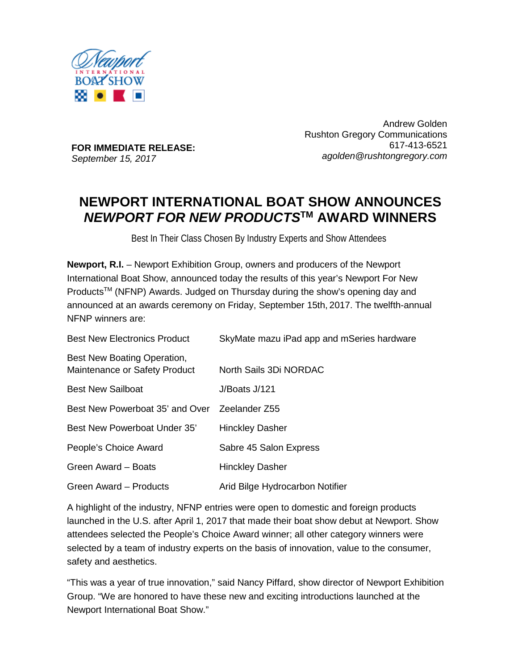

**FOR IMMEDIATE RELEASE:** *September 15, 2017*

Andrew Golden Rushton Gregory Communications 617-413-6521 *agolden@rushtongregory.com*

# **NEWPORT INTERNATIONAL BOAT SHOW ANNOUNCES**  *NEWPORT FOR NEW PRODUCTS***TM AWARD WINNERS**

Best In Their Class Chosen By Industry Experts and Show Attendees

**Newport, R.I.** – Newport Exhibition Group, owners and producers of the Newport International Boat Show, announced today the results of this year's Newport For New ProductsTM (NFNP) Awards. Judged on Thursday during the show's opening day and announced at an awards ceremony on Friday, September 15th, 2017. The twelfth-annual NFNP winners are:

| <b>Best New Electronics Product</b>                          | SkyMate mazu iPad app and mSeries hardware |
|--------------------------------------------------------------|--------------------------------------------|
| Best New Boating Operation,<br>Maintenance or Safety Product | North Sails 3Di NORDAC                     |
| <b>Best New Sailboat</b>                                     | J/Boats J/121                              |
| Best New Powerboat 35' and Over                              | Zeelander Z55                              |
| Best New Powerboat Under 35'                                 | <b>Hinckley Dasher</b>                     |
| People's Choice Award                                        | Sabre 45 Salon Express                     |
| Green Award - Boats                                          | <b>Hinckley Dasher</b>                     |
| Green Award - Products                                       | Arid Bilge Hydrocarbon Notifier            |

A highlight of the industry, NFNP entries were open to domestic and foreign products launched in the U.S. after April 1, 2017 that made their boat show debut at Newport. Show attendees selected the People's Choice Award winner; all other category winners were selected by a team of industry experts on the basis of innovation, value to the consumer, safety and aesthetics.

"This was a year of true innovation," said Nancy Piffard, show director of Newport Exhibition Group. "We are honored to have these new and exciting introductions launched at the Newport International Boat Show."